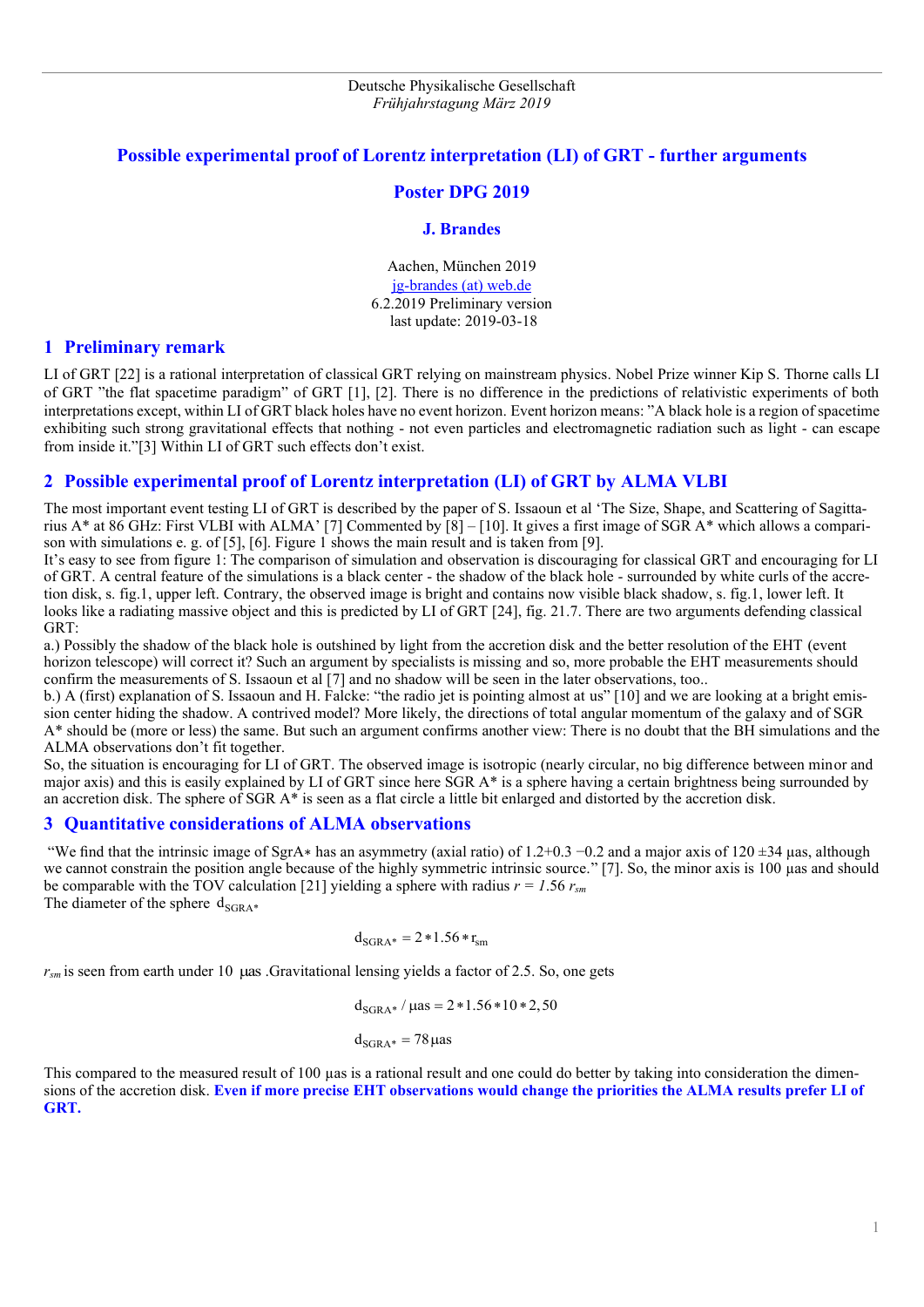## **Possible experimental proof of Lorentz interpretation (LI) of GRT - further arguments**

#### **Poster DPG 2019**

#### **J. Brandes**

Aachen, München 2019 [jg-brandes \(at\) web.de](mailto:jg-brandes@web.de) 6.2.2019 Preliminary version last update: 2019-03-18

#### **1 Preliminary remark**

LI of GRT [22] is a rational interpretation of classical GRT relying on mainstream physics. Nobel Prize winner Kip S. Thorne calls LI of GRT "the flat spacetime paradigm" of GRT [1], [2]. There is no difference in the predictions of relativistic experiments of both interpretations except, within LI of GRT black holes have no event horizon. Event horizon means: "A black hole is a region of spacetime exhibiting such strong gravitational effects that nothing - not even particles and electromagnetic radiation such as light - can escape from inside it."[3] Within LI of GRT such effects don't exist.

## **2 Possible experimental proof of Lorentz interpretation (LI) of GRT by ALMA VLBI**

The most important event testing LI of GRT is described by the paper of S. Issaoun et al 'The Size, Shape, and Scattering of Sagittarius A\* at 86 GHz: First VLBI with ALMA' [7] Commented by [8] – [10]. It gives a first image of SGR A\* which allows a comparison with simulations e. g. of [5], [6]. Figure 1 shows the main result and is taken from [9].

It's easy to see from figure 1: The comparison of simulation and observation is discouraging for classical GRT and encouraging for LI of GRT. A central feature of the simulations is a black center - the shadow of the black hole - surrounded by white curls of the accretion disk, s. fig.1, upper left. Contrary, the observed image is bright and contains now visible black shadow, s. fig.1, lower left. It looks like a radiating massive object and this is predicted by LI of GRT [24], fig. 21.7. There are two arguments defending classical GRT:

a.) Possibly the shadow of the black hole is outshined by light from the accretion disk and the better resolution of the EHT (event horizon telescope) will correct it? Such an argument by specialists is missing and so, more probable the EHT measurements should confirm the measurements of S. Issaoun et al [7] and no shadow will be seen in the later observations, too..

b.) A (first) explanation of S. Issaoun and H. Falcke: "the radio jet is pointing almost at us" [10] and we are looking at a bright emission center hiding the shadow. A contrived model? More likely, the directions of total angular momentum of the galaxy and of SGR A\* should be (more or less) the same. But such an argument confirms another view: There is no doubt that the BH simulations and the ALMA observations don't fit together.

So, the situation is encouraging for LI of GRT. The observed image is isotropic (nearly circular, no big difference between minor and major axis) and this is easily explained by LI of GRT since here SGR A\* is a sphere having a certain brightness being surrounded by an accretion disk. The sphere of SGR A\* is seen as a flat circle a little bit enlarged and distorted by the accretion disk.

### **3 Quantitative considerations of ALMA observations**

"We find that the intrinsic image of SgrA∗ has an asymmetry (axial ratio) of 1.2+0.3 −0.2 and a major axis of 120 ±34 µas, although we cannot constrain the position angle because of the highly symmetric intrinsic source." [7]. So, the minor axis is 100 µas and should be comparable with the TOV calculation [21] yielding a sphere with radius  $r = 1.56 r_{\text{sm}}$ The diameter of the sphere  $d_{SGRA*}$ 

$$
d_{\rm SGRA*}=2*1.56*r_{\rm sm}
$$

 $r_{\textit{sm}}$  is seen from earth under 10  $\mu$ as .Gravitational lensing yields a factor of 2.5. So, one gets

$$
d_{SGRA^*} / \mu as = 2 * 1.56 * 10 * 2,50
$$

 $d_{SGRA*} = 78 \,\mu$ as

This compared to the measured result of 100 µas is a rational result and one could do better by taking into consideration the dimensions of the accretion disk. **Even if more precise EHT observations would change the priorities the ALMA results prefer LI of GRT.**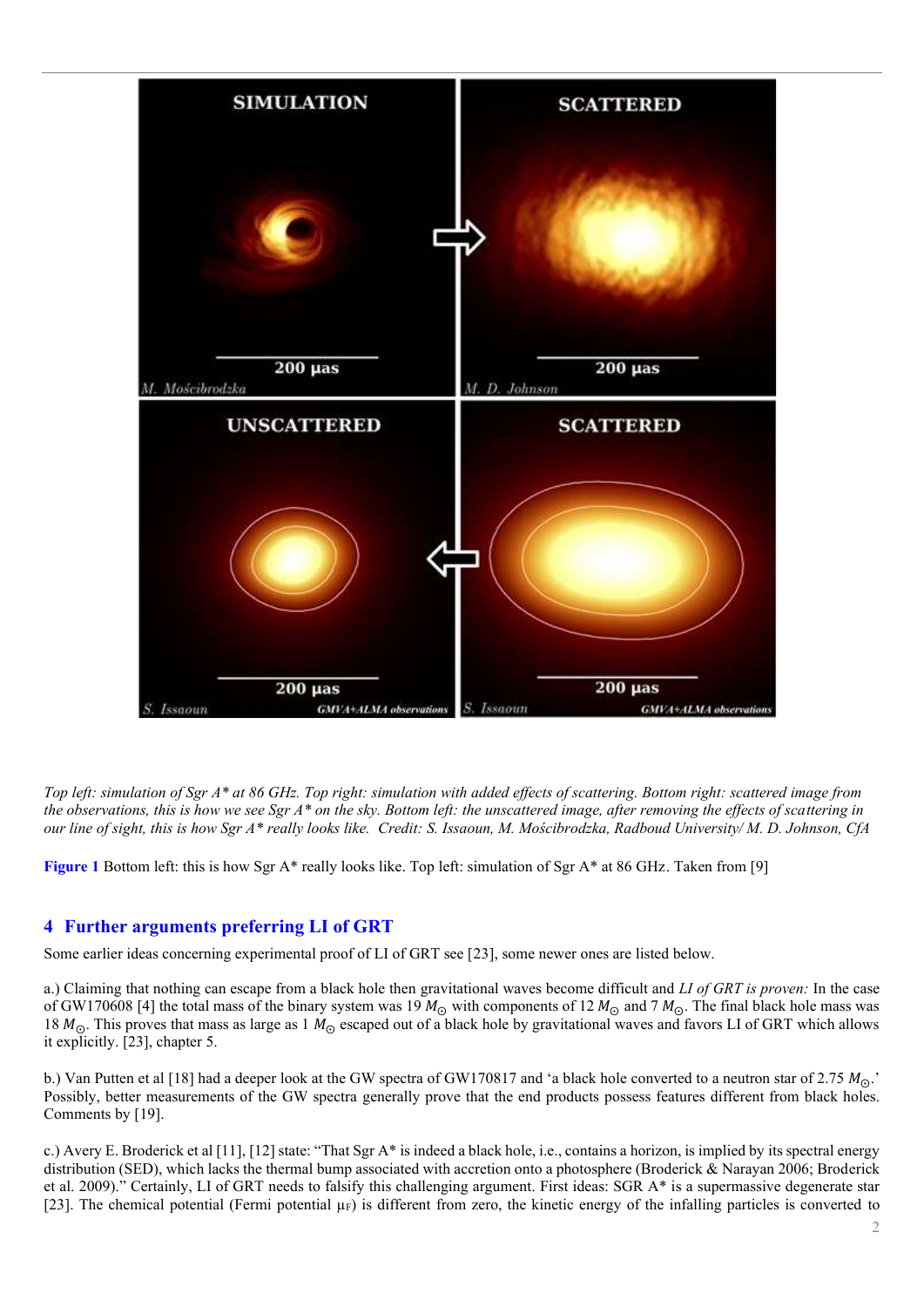

*Top left: simulation of Sgr A\* at 86 GHz. Top right: simulation with added effects of scattering. Bottom right: scattered image from the observations, this is how we see Sgr A\* on the sky. Bottom left: the unscattered image, after removing the effects of scattering in our line of sight, this is how Sgr A\* really looks like. Credit: S. Issaoun, M. Mościbrodzka, Radboud University/ M. D. Johnson, CfA*

**Figure 1** Bottom left: this is how Sgr A\* really looks like. Top left: simulation of Sgr A\* at 86 GHz. Taken from [9]

# **4 Further arguments preferring LI of GRT**

Some earlier ideas concerning experimental proof of LI of GRT see [23], some newer ones are listed below.

a.) Claiming that nothing can escape from a black hole then gravitational waves become difficult and *LI of GRT is proven:* In the case of GW170608 [4] the total mass of the binary system was 19  $M_{\odot}$  with components of 12  $M_{\odot}$  and 7  $M_{\odot}$ . The final black hole mass was 18  $M_{\odot}$ . This proves that mass as large as 1  $M_{\odot}$  escaped out of a black hole by gravitational waves and favors LI of GRT which allows it explicitly. [23], chapter 5.

b.) Van Putten et al [18] had a deeper look at the GW spectra of GW170817 and 'a black hole converted to a neutron star of 2.75  $M_{\odot}$ . Possibly, better measurements of the GW spectra generally prove that the end products possess features different from black holes. Comments by [19].

c.) Avery E. Broderick et al [11], [12] state: "That Sgr A\* is indeed a black hole, i.e., contains a horizon, is implied by its spectral energy distribution (SED), which lacks the thermal bump associated with accretion onto a photosphere (Broderick & Narayan 2006; Broderick et al. 2009)." Certainly, LI of GRT needs to falsify this challenging argument. First ideas: SGR A\* is a supermassive degenerate star [23]. The chemical potential (Fermi potential  $\mu_F$ ) is different from zero, the kinetic energy of the infalling particles is converted to